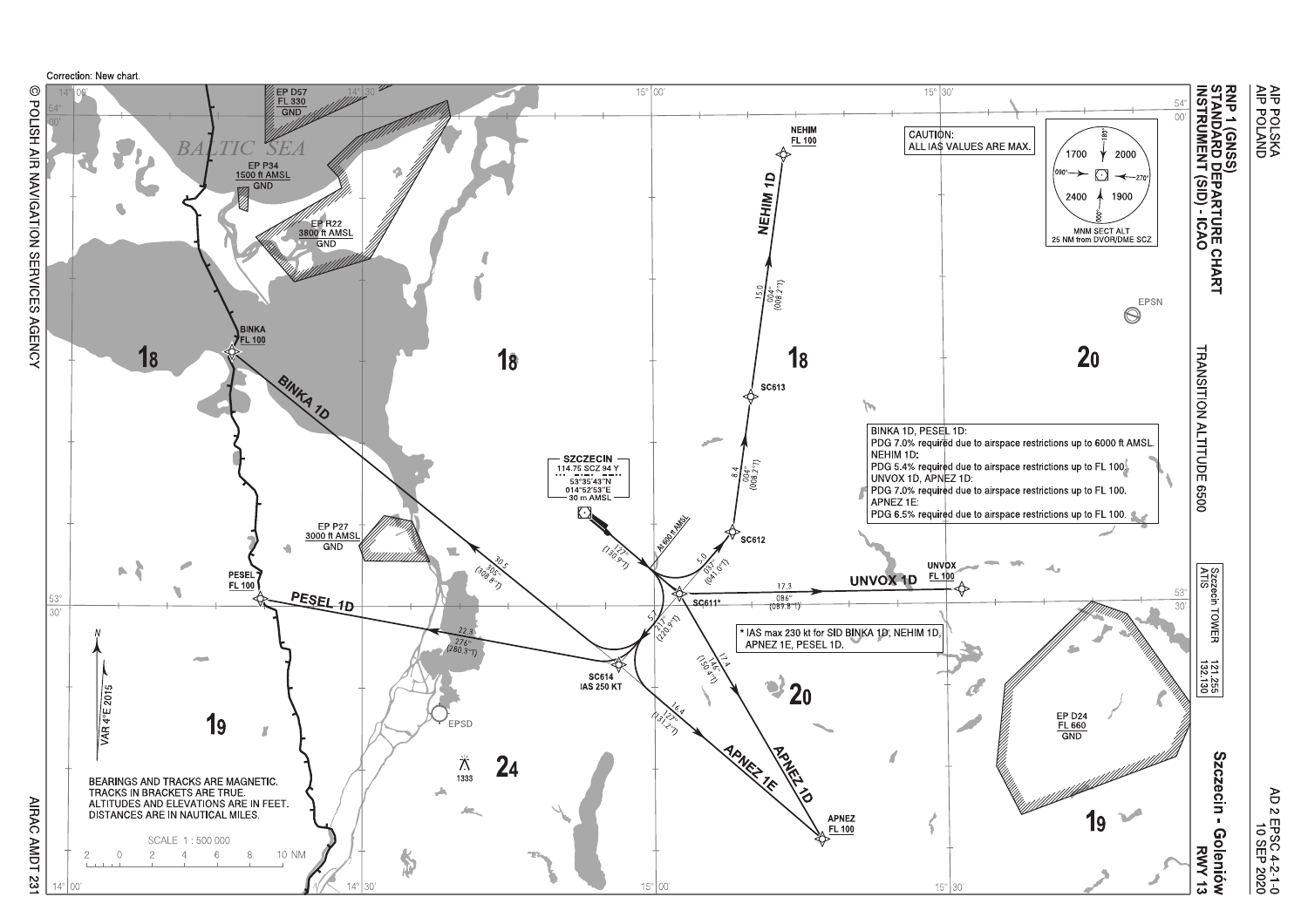

@ POLISH AIR NAVIGATION SERVICES AGENCY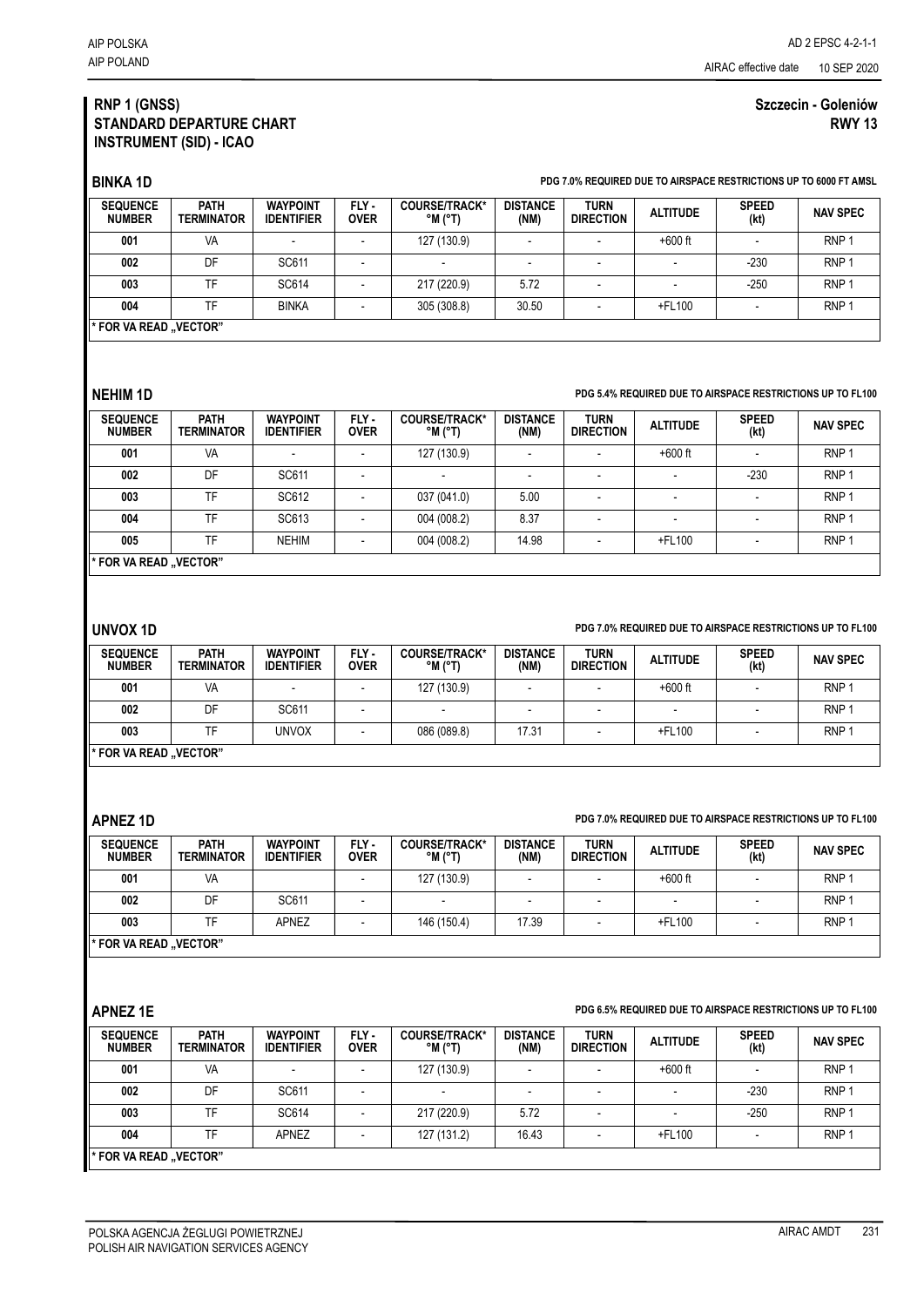## **RNP 1 (GNSS) STANDARD DEPARTURE CHART INSTRUMENT (SID) - ICAO**

# **Szczecin - Goleniów RWY 13**

**BINKA 1D PDG 7.0% REQUIRED DUE TO AIRSPACE RESTRICTIONS UP TO 6000 FT AMSL**

| <b>SEQUENCE</b><br><b>NUMBER</b> | PATH<br><b>TERMINATOR</b> | <b>WAYPOINT</b><br><b>IDENTIFIER</b> | FLY -<br><b>OVER</b> | <b>COURSE/TRACK*</b><br>$^{\circ}$ M $^{\circ}$ T) | <b>DISTANCE</b><br>(NM) | <b>TURN</b><br><b>DIRECTION</b> | <b>ALTITUDE</b> | <b>SPEED</b><br>(kt) | <b>NAV SPEC</b>  |
|----------------------------------|---------------------------|--------------------------------------|----------------------|----------------------------------------------------|-------------------------|---------------------------------|-----------------|----------------------|------------------|
| 001                              | VA                        |                                      |                      | 127 (130.9)                                        |                         |                                 | $+600$ ft       |                      | RNP <sup>1</sup> |
| 002                              | DF                        | SC611                                |                      | $\overline{\phantom{a}}$                           | -                       |                                 |                 | $-230$               | RNP <sup>1</sup> |
| 003                              | <b>TF</b>                 | SC614                                |                      | 217 (220.9)                                        | 5.72                    |                                 |                 | $-250$               | RNP <sup>1</sup> |
| 004                              | <b>TF</b>                 | <b>BINKA</b>                         |                      | 305 (308.8)                                        | 30.50                   |                                 | +FL100          |                      | RNP <sup>1</sup> |
| * FOR VA READ "VECTOR"           |                           |                                      |                      |                                                    |                         |                                 |                 |                      |                  |

### **NEHIM 1D PDG 5.4% REQUIRED DUE TO AIRSPACE RESTRICTIONS UP TO FL100**

| <b>SEQUENCE</b><br><b>NUMBER</b> | <b>PATH</b><br><b>TERMINATOR</b> | <b>WAYPOINT</b><br><b>IDENTIFIER</b> | FLY-<br><b>OVER</b> | COURSE/TRACK*<br>$^{\circ}$ M $^{\circ}$ T) | <b>DISTANCE</b><br>(NM)  | <b>TURN</b><br><b>DIRECTION</b> | <b>ALTITUDE</b> | <b>SPEED</b><br>(kt) | <b>NAV SPEC</b>  |
|----------------------------------|----------------------------------|--------------------------------------|---------------------|---------------------------------------------|--------------------------|---------------------------------|-----------------|----------------------|------------------|
| 001                              | VA                               |                                      |                     | 127 (130.9)                                 | $\overline{\phantom{0}}$ |                                 | $+600$ ft       |                      | RNP <sub>1</sub> |
| 002                              | DF                               | SC611                                |                     | $\overline{\phantom{0}}$                    | $\overline{\phantom{0}}$ |                                 |                 | $-230$               | RNP <sup>1</sup> |
| 003                              | <b>TF</b>                        | SC612                                |                     | 037 (041.0)                                 | 5.00                     |                                 | -               |                      | RNP <sup>1</sup> |
| 004                              | TF                               | SC613                                |                     | 004 (008.2)                                 | 8.37                     |                                 |                 |                      | RNP <sup>1</sup> |
| 005                              | TF.                              | <b>NEHIM</b>                         |                     | 004 (008.2)                                 | 14.98                    |                                 | +FL100          |                      | RNP <sub>1</sub> |
| * FOR VA READ "VECTOR"           |                                  |                                      |                     |                                             |                          |                                 |                 |                      |                  |

**UNVOX 1D PDG 7.0% REQUIRED DUE TO AIRSPACE RESTRICTIONS UP TO FL100**

| <b>SEQUENCE</b><br><b>NUMBER</b> | <b>PATH</b><br><b>TERMINATOR</b> | <b>WAYPOINT</b><br><b>IDENTIFIER</b> | FLY-<br><b>OVER</b> | <b>COURSE/TRACK*</b><br>$^{\circ}$ M $^{\circ}$ T) | <b>DISTANCE</b><br>(NM) | <b>TURN</b><br><b>DIRECTION</b> | <b>ALTITUDE</b> | <b>SPEED</b><br>(kt) | <b>NAV SPEC</b>  |
|----------------------------------|----------------------------------|--------------------------------------|---------------------|----------------------------------------------------|-------------------------|---------------------------------|-----------------|----------------------|------------------|
| 001                              | VA                               |                                      |                     | 127 (130.9)                                        |                         |                                 | $+600$ ft       |                      | RNP <sup>1</sup> |
| 002                              | DF                               | SC611                                |                     |                                                    |                         |                                 |                 |                      | RNP <sup>1</sup> |
| 003                              |                                  | UNVOX                                |                     | 086 (089.8)                                        | 17.31                   |                                 | +FL100          |                      | RNP <sup>1</sup> |
| * FOR VA READ "VECTOR"           |                                  |                                      |                     |                                                    |                         |                                 |                 |                      |                  |

### **APNEZ 1D PDG 7.0% REQUIRED DUE TO AIRSPACE RESTRICTIONS UP TO FL100**

| <b>SEQUENCE</b><br><b>NUMBER</b> | <b>PATH</b><br><b>TERMINATOR</b> | <b>WAYPOINT</b><br><b>IDENTIFIER</b> | FLY -<br><b>OVER</b> | <b>COURSE/TRACK*</b><br>$^{\circ}$ M $^{\circ}$ T) | <b>DISTANCE</b><br>(NM) | <b>TURN</b><br><b>DIRECTION</b> | <b>ALTITUDE</b> | <b>SPEED</b><br>(kt) | <b>NAV SPEC</b>  |
|----------------------------------|----------------------------------|--------------------------------------|----------------------|----------------------------------------------------|-------------------------|---------------------------------|-----------------|----------------------|------------------|
| 001                              | VA                               |                                      |                      | 127 (130.9)                                        |                         |                                 | $+600$ ft       |                      | RNP <sup>1</sup> |
| 002                              | DF                               | SC611                                |                      |                                                    |                         |                                 |                 |                      | RNP <sup>1</sup> |
| 003                              | TF                               | <b>APNEZ</b>                         |                      | 146 (150.4)                                        | 17.39                   |                                 | +FL100          |                      | RNP <sup>1</sup> |
| * FOR VA READ "VECTOR"           |                                  |                                      |                      |                                                    |                         |                                 |                 |                      |                  |

### **APNEZ 1E PDG 6.5% REQUIRED DUE TO AIRSPACE RESTRICTIONS UP TO FL100**

| <b>SEQUENCE</b><br><b>NUMBER</b> | <b>PATH</b><br><b>TERMINATOR</b> | <b>WAYPOINT</b><br><b>IDENTIFIER</b> | FLY-<br><b>OVER</b> | COURSE/TRACK*<br>$^{\circ}$ M ( $^{\circ}$ T) | <b>DISTANCE</b><br>(NM) | <b>TURN</b><br><b>DIRECTION</b> | <b>ALTITUDE</b>          | <b>SPEED</b><br>(kt) | <b>NAV SPEC</b>  |
|----------------------------------|----------------------------------|--------------------------------------|---------------------|-----------------------------------------------|-------------------------|---------------------------------|--------------------------|----------------------|------------------|
| 001                              | <b>VA</b>                        |                                      |                     | 127 (130.9)                                   |                         |                                 | $+600$ ft                |                      | RNP <sup>:</sup> |
| 002                              | DF                               | SC611                                |                     | $\overline{\phantom{0}}$                      |                         |                                 | $\overline{\phantom{0}}$ | $-230$               | RNP ·            |
| 003                              | TF                               | SC614                                |                     | 217 (220.9)                                   | 5.72                    |                                 |                          | $-250$               | RNP <sup>:</sup> |
| 004                              | TF                               | APNEZ                                |                     | 127 (131.2)                                   | 16.43                   |                                 | +FL100                   |                      | RNP <sup>:</sup> |
| * FOR VA READ "VECTOR"           |                                  |                                      |                     |                                               |                         |                                 |                          |                      |                  |